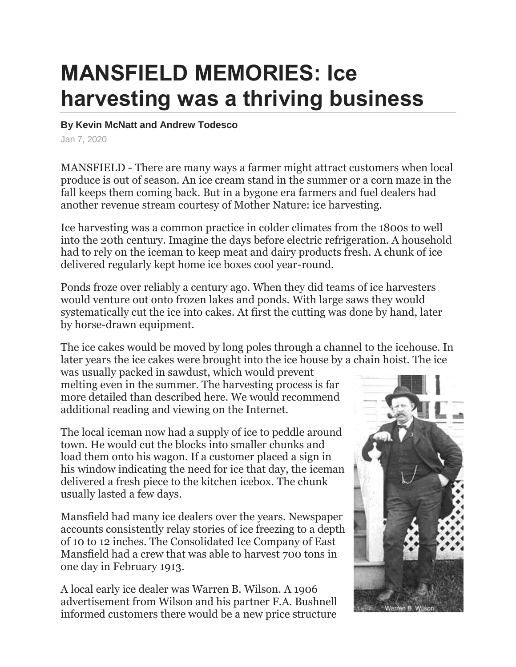## **MANSFIELD MEMORIES: Ice harvesting was a thriving business**

## **By Kevin McNatt and Andrew Todesco**

Jan 7, 2020

MANSFIELD - There are many ways a farmer might attract customers when local produce is out of season. An ice cream stand in the summer or a corn maze in the fall keeps them coming back. But in a bygone era farmers and fuel dealers had another revenue stream courtesy of Mother Nature: ice harvesting.

Ice harvesting was a common practice in colder climates from the 1800s to well into the 20th century. Imagine the days before electric refrigeration. A household had to rely on the iceman to keep meat and dairy products fresh. A chunk of ice delivered regularly kept home ice boxes cool year-round.

Ponds froze over reliably a century ago. When they did teams of ice harvesters would venture out onto frozen lakes and ponds. With large saws they would systematically cut the ice into cakes. At first the cutting was done by hand, later by horse-drawn equipment.

The ice cakes would be moved by long poles through a channel to the icehouse. In later years the ice cakes were brought into the ice house by a chain hoist. The ice

was usually packed in sawdust, which would prevent melting even in the summer. The harvesting process is far more detailed than described here. We would recommend additional reading and viewing on the Internet.

The local iceman now had a supply of ice to peddle around town. He would cut the blocks into smaller chunks and load them onto his wagon. If a customer placed a sign in his window indicating the need for ice that day, the iceman delivered a fresh piece to the kitchen icebox. The chunk usually lasted a few days.

Mansfield had many ice dealers over the years. Newspaper accounts consistently relay stories of ice freezing to a depth of 10 to 12 inches. The Consolidated Ice Company of East Mansfield had a crew that was able to harvest 700 tons in one day in February 1913.

A local early ice dealer was Warren B. Wilson. A 1906 advertisement from Wilson and his partner F.A. Bushnell informed customers there would be a new price structure